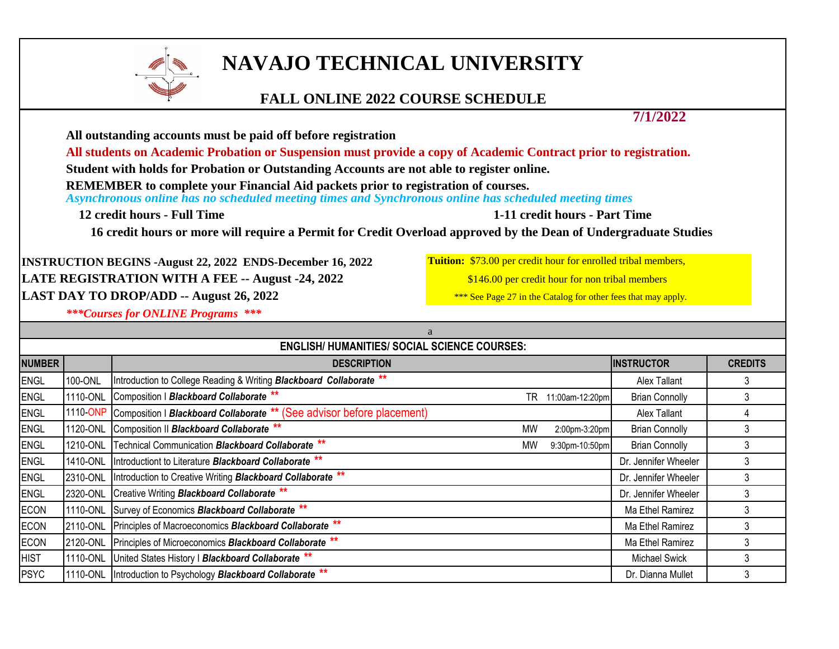

## **NAVAJO TECHNICAL UNIVERSITY**

## **FALL ONLINE 2022 COURSE SCHEDULE**

**7/1/2022**

**All outstanding accounts must be paid off before registration All students on Academic Probation or Suspension must provide a copy of Academic Contract prior to registration. Student with holds for Probation or Outstanding Accounts are not able to register online. REMEMBER to complete your Financial Aid packets prior to registration of courses.** *Asynchronous online has no scheduled meeting times and Synchronous online has scheduled meeting times*  **12 credit hours - Full Time 1-11 credit hours - Part Time INSTRUCTION BEGINS -August 22, 2022 ENDS-December 16, 2022 Tuition:** \$73.00 per credit hour for enrolled tribal members, LATE REGISTRATION WITH A FEE -- August -24, 2022 **1998** \$146.00 per credit hour for non tribal members LAST DAY TO DROP/ADD -- August 26, 2022 *\*\*\*Courses for ONLINE Programs \*\*\** **16 credit hours or more will require a Permit for Credit Overload approved by the Dean of Undergraduate Studies** 

| a                                                   |          |                                                                           |                 |                       |                |  |  |  |  |
|-----------------------------------------------------|----------|---------------------------------------------------------------------------|-----------------|-----------------------|----------------|--|--|--|--|
| <b>ENGLISH/ HUMANITIES/ SOCIAL SCIENCE COURSES:</b> |          |                                                                           |                 |                       |                |  |  |  |  |
| <b>NUMBER</b>                                       |          | <b>DESCRIPTION</b>                                                        |                 | <b>INSTRUCTOR</b>     | <b>CREDITS</b> |  |  |  |  |
| ENGL                                                | 100-ONL  | Introduction to College Reading & Writing Blackboard Collaborate **       |                 | Alex Tallant          |                |  |  |  |  |
| ENGL                                                | 1110-ONL | Composition   Blackboard Collaborate **<br>TR                             | 11:00am-12:20pm | <b>Brian Connolly</b> |                |  |  |  |  |
| ENGL                                                | 1110-ONP | Composition   Blackboard Collaborate ** (See advisor before placement)    |                 | Alex Tallant          |                |  |  |  |  |
| ENGL                                                | 1120-ONL | Composition II Blackboard Collaborate **<br><b>MW</b>                     | 2:00pm-3:20pm   | <b>Brian Connolly</b> |                |  |  |  |  |
| ENGL                                                | 1210-ONL | Technical Communication Blackboard Collaborate <sup>**</sup><br><b>MW</b> | 9:30pm-10:50pm  | <b>Brian Connolly</b> |                |  |  |  |  |
| ENGL                                                | 1410-ONL | Introductiont to Literature Blackboard Collaborate **                     |                 | Dr. Jennifer Wheeler  |                |  |  |  |  |
| ENGL                                                | 2310-ONL | Introduction to Creative Writing Blackboard Collaborate **                |                 | Dr. Jennifer Wheeler  |                |  |  |  |  |
| ENGL                                                | 2320-ONL | Creative Writing Blackboard Collaborate **                                |                 | Dr. Jennifer Wheeler  |                |  |  |  |  |
| ECON                                                | 1110-ONL | Survey of Economics Blackboard Collaborate **                             |                 | Ma Ethel Ramirez      |                |  |  |  |  |
| ECON                                                | 2110-ONL | Principles of Macroeconomics Blackboard Collaborate **                    |                 | Ma Ethel Ramirez      |                |  |  |  |  |
| ECON                                                |          | 2120-ONL Principles of Microeconomics Blackboard Collaborate **           |                 | Ma Ethel Ramirez      |                |  |  |  |  |
| <b>HIST</b>                                         |          | 1110-ONL United States History I Blackboard Collaborate **                |                 | Michael Swick         |                |  |  |  |  |
| <b>PSYC</b>                                         |          | 1110-ONL Introduction to Psychology Blackboard Collaborate **             |                 | Dr. Dianna Mullet     |                |  |  |  |  |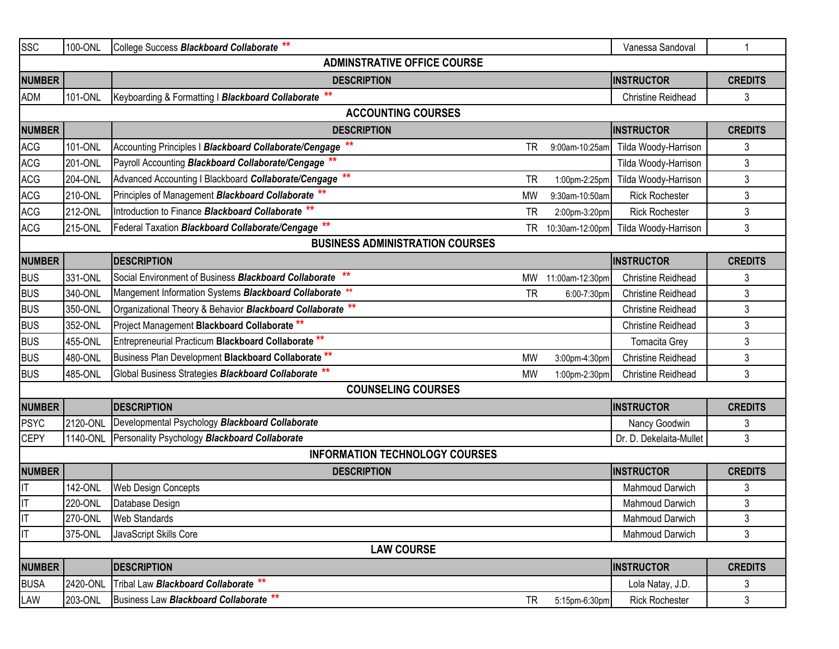| <b>SSC</b>                             | 100-ONL  | College Success Blackboard Collaborate **                       |           |                 | Vanessa Sandoval          | 1              |  |
|----------------------------------------|----------|-----------------------------------------------------------------|-----------|-----------------|---------------------------|----------------|--|
| <b>ADMINSTRATIVE OFFICE COURSE</b>     |          |                                                                 |           |                 |                           |                |  |
| <b>NUMBER</b>                          |          | <b>DESCRIPTION</b>                                              |           |                 | <b>INSTRUCTOR</b>         | <b>CREDITS</b> |  |
| <b>ADM</b>                             | 101-ONL  | Keyboarding & Formatting I Blackboard Collaborate               |           |                 | <b>Christine Reidhead</b> | 3              |  |
| <b>ACCOUNTING COURSES</b>              |          |                                                                 |           |                 |                           |                |  |
| <b>NUMBER</b>                          |          | <b>DESCRIPTION</b>                                              |           |                 | <b>INSTRUCTOR</b>         | <b>CREDITS</b> |  |
| <b>ACG</b>                             | 101-ONL  | Accounting Principles   Blackboard Collaborate/Cengage          | TR        | 9:00am-10:25am  | Tilda Woody-Harrison      | 3              |  |
| <b>ACG</b>                             | 201-ONL  | Payroll Accounting Blackboard Collaborate/Cengage               |           |                 | Tilda Woody-Harrison      | 3              |  |
| <b>ACG</b>                             | 204-ONL  | Advanced Accounting I Blackboard Collaborate/Cengage            | <b>TR</b> | 1:00pm-2:25pm   | Tilda Woody-Harrison      | 3              |  |
| ACG                                    | 210-ONL  | Principles of Management Blackboard Collaborate **              | <b>MW</b> | 9:30am-10:50am  | <b>Rick Rochester</b>     | 3              |  |
| <b>ACG</b>                             | 212-ONL  | Introduction to Finance Blackboard Collaborate **               | TR        | 2:00pm-3:20pm   | <b>Rick Rochester</b>     | 3              |  |
| <b>ACG</b>                             | 215-ONL  | Federal Taxation <i>Blackboard Collaborate/Cengage</i> **       | TR.       | 10:30am-12:00pm | Tilda Woody-Harrison      | 3              |  |
| <b>BUSINESS ADMINISTRATION COURSES</b> |          |                                                                 |           |                 |                           |                |  |
| <b>NUMBER</b>                          |          | <b>DESCRIPTION</b>                                              |           |                 | <b>INSTRUCTOR</b>         | <b>CREDITS</b> |  |
| <b>BUS</b>                             | 331-ONL  | Social Environment of Business <b>Blackboard Collaborate</b>    | <b>MW</b> | 11:00am-12:30pm | <b>Christine Reidhead</b> | 3              |  |
| <b>BUS</b>                             | 340-ONL  | Mangement Information Systems Blackboard Collaborate **         | <b>TR</b> | 6:00-7:30pm     | <b>Christine Reidhead</b> | 3              |  |
| <b>BUS</b>                             | 350-ONL  | Organizational Theory & Behavior Blackboard Collaborate **      |           |                 | <b>Christine Reidhead</b> | 3              |  |
| <b>BUS</b>                             | 352-ONL  | Project Management Blackboard Collaborate **                    |           |                 | <b>Christine Reidhead</b> | 3              |  |
| <b>BUS</b>                             | 455-ONL  | Entrepreneurial Practicum Blackboard Collaborate <sup>**</sup>  |           |                 | <b>Tomacita Grey</b>      | 3              |  |
| <b>BUS</b>                             | 480-ONL  | Business Plan Development Blackboard Collaborate <sup>**</sup>  | <b>MW</b> | 3:00pm-4:30pm   | <b>Christine Reidhead</b> | 3              |  |
| <b>BUS</b>                             | 485-ONL  | Global Business Strategies Blackboard Collaborate <sup>**</sup> | MW        | 1:00pm-2:30pm   | <b>Christine Reidhead</b> | 3              |  |
| <b>COUNSELING COURSES</b>              |          |                                                                 |           |                 |                           |                |  |
| <b>NUMBER</b>                          |          | <b>DESCRIPTION</b>                                              |           |                 | <b>INSTRUCTOR</b>         | <b>CREDITS</b> |  |
| PSYC                                   | 2120-ONL | Developmental Psychology Blackboard Collaborate                 |           |                 | Nancy Goodwin             | 3              |  |
| <b>CEPY</b>                            |          | 1140-ONL Personality Psychology Blackboard Collaborate          |           |                 | Dr. D. Dekelaita-Mullet   | 3              |  |
|                                        |          | <b>INFORMATION TECHNOLOGY COURSES</b>                           |           |                 |                           |                |  |
| <b>NUMBER</b>                          |          | <b>DESCRIPTION</b>                                              |           |                 | <b>INSTRUCTOR</b>         | <b>CREDITS</b> |  |
| IT                                     | 142-ONL  | <b>Web Design Concepts</b>                                      |           |                 | Mahmoud Darwich           | 3              |  |
| $\overline{\mathbb{F}}$                | 220-ONL  | Database Design                                                 |           |                 | Mahmoud Darwich           | 3              |  |
| $\mathsf{I}\mathsf{T}$                 | 270-ONL  | <b>Web Standards</b>                                            |           |                 | Mahmoud Darwich           | $\mathfrak{Z}$ |  |
| $\overline{\mathbb{I}}$                | 375-ONL  | JavaScript Skills Core                                          |           |                 | Mahmoud Darwich           | 3              |  |
| <b>LAW COURSE</b>                      |          |                                                                 |           |                 |                           |                |  |
| <b>NUMBER</b>                          |          | <b>DESCRIPTION</b>                                              |           |                 | <b>INSTRUCTOR</b>         | <b>CREDITS</b> |  |
| <b>BUSA</b>                            | 2420-ONL | Tribal Law Blackboard Collaborate **                            |           |                 | Lola Natay, J.D.          | 3              |  |
| LAW                                    | 203-ONL  | Business Law Blackboard Collaborate **                          | <b>TR</b> | 5:15pm-6:30pm   | <b>Rick Rochester</b>     | 3              |  |